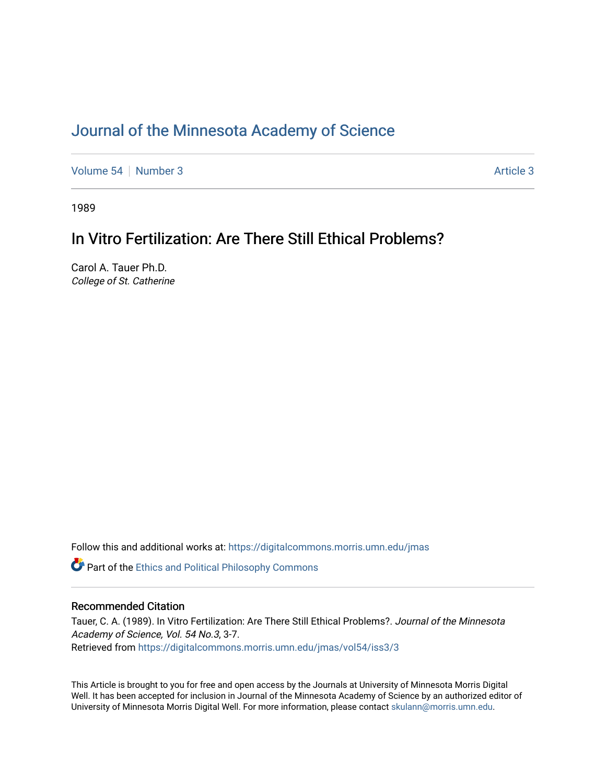# [Journal of the Minnesota Academy of Science](https://digitalcommons.morris.umn.edu/jmas)

[Volume 54](https://digitalcommons.morris.umn.edu/jmas/vol54) [Number 3](https://digitalcommons.morris.umn.edu/jmas/vol54/iss3) [Article 3](https://digitalcommons.morris.umn.edu/jmas/vol54/iss3/3) Article 3

1989

# In Vitro Fertilization: Are There Still Ethical Problems?

Carol A. Tauer Ph.D. College of St. Catherine

Follow this and additional works at: [https://digitalcommons.morris.umn.edu/jmas](https://digitalcommons.morris.umn.edu/jmas?utm_source=digitalcommons.morris.umn.edu%2Fjmas%2Fvol54%2Fiss3%2F3&utm_medium=PDF&utm_campaign=PDFCoverPages) 

**Part of the Ethics and Political Philosophy Commons** 

# Recommended Citation

Tauer, C. A. (1989). In Vitro Fertilization: Are There Still Ethical Problems?. Journal of the Minnesota Academy of Science, Vol. 54 No.3, 3-7. Retrieved from [https://digitalcommons.morris.umn.edu/jmas/vol54/iss3/3](https://digitalcommons.morris.umn.edu/jmas/vol54/iss3/3?utm_source=digitalcommons.morris.umn.edu%2Fjmas%2Fvol54%2Fiss3%2F3&utm_medium=PDF&utm_campaign=PDFCoverPages)

This Article is brought to you for free and open access by the Journals at University of Minnesota Morris Digital Well. It has been accepted for inclusion in Journal of the Minnesota Academy of Science by an authorized editor of University of Minnesota Morris Digital Well. For more information, please contact [skulann@morris.umn.edu](mailto:skulann@morris.umn.edu).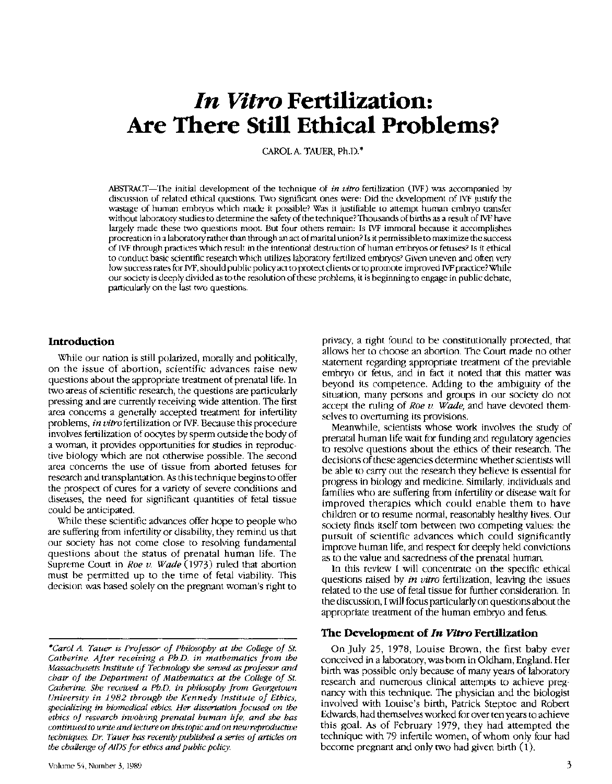# **In Vitro Fertilization: Are There Stlll Ethical Problems?**

CAROL A. TAUER, Ph.D.\*

ABSTRACf-The initial development of the technique of *in vitro* fertilization (IVF) was accompanied by discussion of related ethical questions. Two significant ones were: Did the development of IVF justify the wastage of human embryos which made it possible? Was it justifiable to attempt human embryo transfer without laboratory studies to determine the safety of the technique? Thousands of births as a result of IVF have largely made these two questions moot. But four others remain: Is IVF immoral because it accomplishes procreation in a laboratory rather than through an act of marital union? Is it permissible to maximize the success of IVF through practices which result in the intentional destruction of human embryos or fetuses? Is tt ethtcal to conduct basic scientific research which utilizes laboratory-fertilized embryos? Given uneven and often very low success rates for IVF, should public policy act to protect clients or to promote improved IVF practice?While our society is deeply divided as to the resolution of these problems, it is beginning to engage in public debate, particularly on the last two questions.

#### **Introduction**

While our nation is still polarized, morally and politically, on the issue of abortion, scientific advances raise new questions about the appropriate treatment of prenatal life. In two areas of scientific research, the questions are particularly pressing and are currently receiving wide attention. The first area concerns a generally accepted treatment for infertility problems, *in vitro* fertilization or IVF. Because this procedure involves fertilization of oocytes by sperm outside the body of a woman, it provides opportunities for studies in reproductive biology which are not otherwise possible. The second area concerns the use of tissue from aborted fetuses for research and transplantation. As this technique begins to offer the prospect of cures for a variety of severe conditions and diseases, the need for significant quantities of fetal tissue could be anticipated.

While these scientific advances offer hope to people who are suffering from infertility or disability, they remind us that our society has not come close to resolving fundamental questions about the status of prenatal human life. The Supreme Court in *Roe v. Wade* (1973) ruled that abortion must be permitted up to the time of fetal viability. This decision was based solely on the pregnant woman's right to privacy, a right found to be constitutionally protected, that allows her to choose an abortion. The Court made no other statement regarding appropriate treatment of the previable embryo or fetus, and in fact it noted that this matter was beyond its competence. Adding to the ambiguity of the situation, many persons and groups in our society do not accept the ruling of *Roe v. Wade,* and have devoted themselves to overturning its provisions.

Meanwhile, scientists whose work involves the study of prenatal human life wait for funding and regulatory agencies to resolve questions about the ethics of their research. The decisions of these agencies determine whether scientists will be able to carry out the research they believe is essential for progress in biology and medicine. Similarly, individuals and families who are suffering from infertility or disease wait for improved therapies which could enable them to have children or to resume normal, reasonably healthy lives. Our society finds itself tom between two competing values: the pursuit of scientific advances which could significantly improve human life, and respect for deeply held convictions as to the value and sacredness of the prenatal human.

In this review I will concentrate on the specific ethical questions raised by *in vitro* fertilization, leaving the issues related to the use of fetal tissue for further consideration. In the discussion, I will focus particularly on questions about the appropriate treatment of the human embryo and fetus.

#### **The Development of** *In Vitro* **Fertilization**

On July 25, 1978, Louise Brown, the first baby ever conceived in a laboratory, was born in Oldham, England. Her birth was possible only because of many years of laboratory research and numerous clinical attempts to achieve pregnancy with this technique. The physician and the biologist involved with Louise's birth, Patrick Steptoe and Robert Edwards, had themselves worked for over ten years to achieve this goal. As of February 1979, they had attempted the technique with 79 infertile women, of whom only four had become pregnant and only two had given birth (1).

*<sup>\*</sup>Carol A. Tauer is Professor of Philosophy at the College of St. Catherine. After receiving a Ph.D. in mathematics from the Massachusetts Institute of Technology she seroed as professor and chair of the Department of Mathematics at the College of St. Catherine. She received a Ph.D. in philosophy from Georgetown University in 1982 through the Kennedy Institute of Ethics, specializing in biomedical ethics. Her dissertation focused on the ethics of research involving prenatal human life, and she has continued to write and lecture on this topic and on new reproductive techniques. Dr. Tauer has recently published a series of articles on the challenge of AIDS for ethics and public policy.*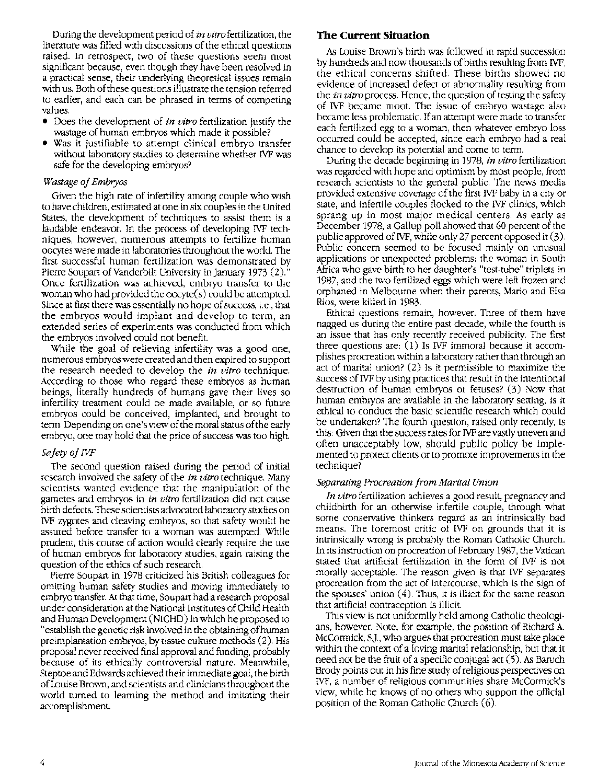During the development period of *in vitro* fertilization, the literature was filled with discussions of the ethical questions raised. In retrospect, two of these questions seem most significant because, even though they have been resolved in a practical sense, their underlying theoretical issues remain with us. Both of these questions illustrate the tension referred to earlier, and each can be phrased in terms of competing values.

- Does the development of *in vitro* fertilization justify the wastage of human embryos which made it possible?
- Was it justifiable to attempt clinical embryo transfer without laboratory studies to determine whether IVF was safe for the developing embryos?

#### *Wastage of Embryos*

Given the high rate of infertility among couple who wish to have children, estimated at one in six couples in the United States, the development of techniques to assist them is a laudable endeavor. In the process of developing IVF techniques, however, numerous attempts to fertilize human oocytes were made in laboratories throughout the world. The first successful human fertilization was demonstrated by Pierre Soupart of Vanderbilt University in January 1973 (2). Once fertilization was achieved, embryo transfer to the woman who had provided the oocyte(s) could be attempted. Since at first there was essentially no hope of success, i.e., that the embryos would implant and develop to term, an extended series of experiments was conducted from which the embryos involved could not benefit.

While the goal of relieving infertility was a good one, numerous embryos were created and then expired to support the research needed to develop the *in vitro* technique. According to those who regard these embryos as human beings, literally hundreds of humans gave their lives so infertility treatment could be made available, or so future embryos could be conceived, implanted, and brought to term. Depending on one's view of the moral status of the early embryo, one may hold that the price of success was too high.

#### *Safety of JVF*

The second question raised during the period of initial research involved the safety of the *in vitro* technique. Many scientists wanted evidence that the manipulation of the gametes and embryos in *in vitro* fertilization did not cause birth defects. These scientists advocated laboratory studies on 1VF zygotes and cleaving embryos, so that safety would be assured before transfer to a woman was attempted. While prudent, this course of action would clearly require the use of human embryos for laboratory studies, again raising the question of the ethics of such research.

Pierre Soupart in 1978 criticized his British colleagues for omitting human safety studies and moving immediately to embryo transfer. At that time, Soupart had a research proposal under consideration at the National Institutes of Child Health and Human Development (NICHD) in which he proposed to "establish the genetic risk involved in the obtaining of human preimplantation embryos, by tissue culture methods (2). His proposal never received final approval and funding, probably because of its ethically controversial nature. Meanwhile, Steptoe and Edwards achieved their immediate goal, the birth of Louise Brown, and scientists and clinicians throughout the world turned to learning the method and imitating their accomplishment.

## **The Current Situation**

As Louise Brown's birth was followed in rapid succession by hundreds and now thousands of births resulting from IVF, the ethical concerns shifted. These births showed no evidence of increased defect or abnormality resulting from the *in vitro* process. Hence, the question of testing the safety of IVF became moot. The issue of embryo wastage also became less problematic. If an attempt were made to transfer each fertilized egg to a woman, then whatever embryo loss occurred could be accepted, since each embryo had a real chance to develop its potential and come to term.

During the decade beginning in 1978, *in vitro* fertilization was regarded with hope and optimism by most people, from research scientists to the general public. The news media provided extensive coverage of the first IVF baby in a city or state, and infertile couples flocked to the IVF clinics, which sprang up in most major medical centers. As early as December 1978, a Gallup poll showed that 60 percent of the public approved of IVF, while only 27 percent opposed it (3 ). Public concern seemed to be focused mainly on unusual applications or unexpected problems: the woman in South Africa who gave birth to her daughter's "test-tube" triplets in 1987, and the two fertilized eggs which were left frozen and orphaned in Melbourne when their parents, Mario and Elsa Rios, were killed in 1983.

Ethical questions remain, however. Three of them have nagged us during the entire past decade, while the fourth is an issue that has only recently received publicity. The first three questions are: (1) Is IVF immoral because it accomplishes procreation within a laboratory rather than through an act of marital union? (2) Is it permissible to maximize the success of IVF by using practices that result in the intentional destruction of human embryos or fetuses? (3) Now that human embryos are available in the laboratory setting, is it ethical to conduct the basic scientific research which could be undertaken? The fourth question, raised only recently, is this: Given that the success rates for IVF are vastly uneven and often unacceptably low, should public policy be implemented to protect clients or to promote improvements in the technique?

#### *Separating Procreation from Marital Union*

*In vitro* fertilization achieves a good result, pregnancy and childbirth for an otherwise infertile couple, through what some conservative thinkers regard as an intrinsically bad means. The foremost critic of IVF on grounds that it is intrinsically wrong is probably the Roman Catholic Church. In its instruction on procreation of February 1987, the Vatican stated that artificial fertilization in the form of IVF is not morally acceptable. The reason given is that IVF separates procreation from the act of intercourse, which is the sign of the spouses' union  $(4)$ . Thus, it is illicit for the same reason that artificial contraception is illicit.

This view is not uniformlly held among Catholic theologians, however. Note, for example, the position of Richard A McCormick, SJ., who argues that procreation must take place within the context of a loving marital relationship, but that it need not be the fruit of a specific conjugal act (5). As Baruch Brody points out in his fine study of religious perspectives on IVF, a number of religious communities share McCormick's view, while he knows of no others who support the official position of the Roman Catholic Church (6).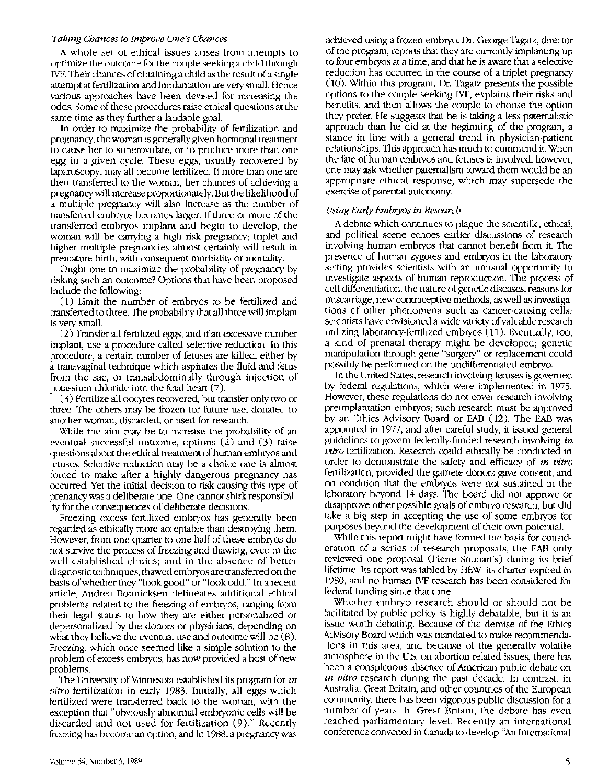#### *Taking Chances to Improve One's Chances*

A whole set of ethical issues arises from attempts to optimize the outcome for the couple seeking a child through IVF. Their chances of obtaining a child as the result of a single attempt at fertilization and implantation are very small. Hence various approaches have been devised for increasing the odds. Some of these procedures raise ethical questions at the same time as they further a laudable goal.

In order to maximize the probability of fertilization and pregnancy, the woman is generally given hormonal treatment to cause her to superovulate, or to produce more than one egg in a given cycle. These eggs, usually recovered by laparoscopy, may all become fertilized. If more than one are then transferred to the woman, her chances of achieving a pregnancy will increase proportionately. But the likelihood of a multiple pregnancy will also increase as the number of transferred embryos becomes larger. If three or more of the transferred embryos implant and begin to develop, the woman will be carrying a high risk pregnancy; triplet and higher multiple pregnancies almost certainly will result in premature birth, with consequent morbidity or mortality.

Ought one to maximize the probability of pregnancy by risking such an outcome? Options that have been proposed include the following:

( 1) Limit the number of embryos to be fertilized and transferred to three. The probability that all three will implant is very small.

(2) Transfer all fertilized eggs, and if an excessive number implant, use a procedure called selective reduction. In this procedure, a certain number of fetuses are killed, either by a transvaginal technique which aspirates the fluid and fetus from the sac, or transabdominally through injection of potassium chloride into the fetal heart (7).

(3) Fertilize all oocytes recovered, but transfer only two or three. The others may be frozen for future use, donated to another woman, discarded, or used for research.

While the aim may be to increase the probability of an eventual successful outcome, options (2) and (3) raise questions about the ethical treatment of human embryos and fetuses. Selective reduction may be a choice one is almost forced to make after a highly dangerous pregnancy has occurred. Yet the initial decision to risk causing this type of prenancy was a deliberate one. One cannot shirk responsibility for the consequences of deliberate decisions.

Freezing excess fertilized embryos has generally been regarded as ethically more acceptable than destroying them. However, from one-quarter to one-half of these embryos do not survive the process of freezing and thawing, even in the well-established clinics; and in the absence of better diagnostic techniques, thawed embryos are transferred on the basis of whether they "look good" or "look odd." In a recent article, Andrea Bonnicksen delineates additional ethical problems related to the freezing of embryos, ranging from their legal status to how they are either personalized or depersonalized by the donors or physicians, depending on what they believe the eventual use and outcome will be (8). Freezing, which once seemed like a simple solution to the problem of excess embryos, has now provided a host of new problems.

The University of Minnesota established its program for *in vitro* fertilization in early 1983. Initially, all eggs which fertilized were transferred back to the woman, with the exception that "obviously abnormal embryonic cells will be discarded and not used for fertilization (9)." Recently freezing has become an option, and in 1988, a pregnancy was

achieved using a frozen embryo. Dr. George Tagatz, director of the program, reports that they are currently implanting up to four embryos at a time, and that he is aware that a selective reduction has occurred in the course of a triplet pregnancy ( 10 ). Within this program, Dr. Tagatz presents the possible options to the couple seeking IVF, explains their risks and benefits, and then allows the couple to choose the option they prefer. He suggests that he is taking a less paternalistic approach than he did at the beginning of the program, a stance in line with a general trend in physician-patient relationships. This approach has much to commend it. When the fate of human embryos and fetuses is involved, however, one may ask whether paternalism toward them would be an appropriate ethical response, which may supersede the exercise of parental autonomy.

#### *Using Early Embryos in Research*

A debate which continues to plague the scientific, ethical, and political scene echoes earlier discussions of research involving human embryos that cannot benefit from it. The presence of human zygotes and embryos in the laboratory setting provides scientists with an unusual opportunity to investigate aspects of human reproduction. The process of cell differentiation, the nature of genetic diseases, reasons for miscarriage, new contraceptive methods, as well as investigations of other phenomena such as cancer-causing cells: scientists have envisioned a wide variety of valuable research utilizing laboratory-fertilized embryos (11). Eventually, too, a kind of prenatal therapy might be developed; genetic manipulation through gene "surgery" or replacement could possibly be performed on the undifferentiated embryo.

In the United States, research involving fetuses is governed by federal regulations, which were implemented in 1975. However, these regulations do not cover research involving preimplantation embryos; such research must be approved by an Ethics Advisory Board or EAB (12). The EAB was appointed in 1977, and after careful study, it issued general guidelines to govern federally-funded research involving *in vitro* fertilization. Research could ethically be conducted in order to demonstrate the safety and efficacy of *in vitro*  fertilization, provided the gamete donors gave consent, and on condition that the embryos were not sustained in the laboratory beyond 14 days. The board did not approve or disapprove other possible goals of embryo research, but did take a big step in accepting the use of some embryos for purposes beyond the development of their own potential.

While this report might have formed the basis for consideration of a series of research proposals, the EAB only reviewed one proposal (Pierre Soupart's) during its brief lifetime. Its report was tabled by HEW, its charter expired in 1980, and no human IVF research has been considered for federal funding since that time.

Whether embryo research should or should not be facilitated by public policy is highly debatable, but it is an issue worth debating. Because of the demise of the Ethics Advisory Board which was mandated to make recommendations in this area, and because of the generally volatile atmosphere in the U.S. on abortion-related issues, there has been a conspicuous absence of American public debate on *in vitro* research during the past decade. In contrast, in Australia, Great Britain, and other countries of the European community, there has been vigorous public discussion for a number of years. In Great Britain, the debate has even reached parliamentary level. Recently an international conference convened in Canada to develop "An International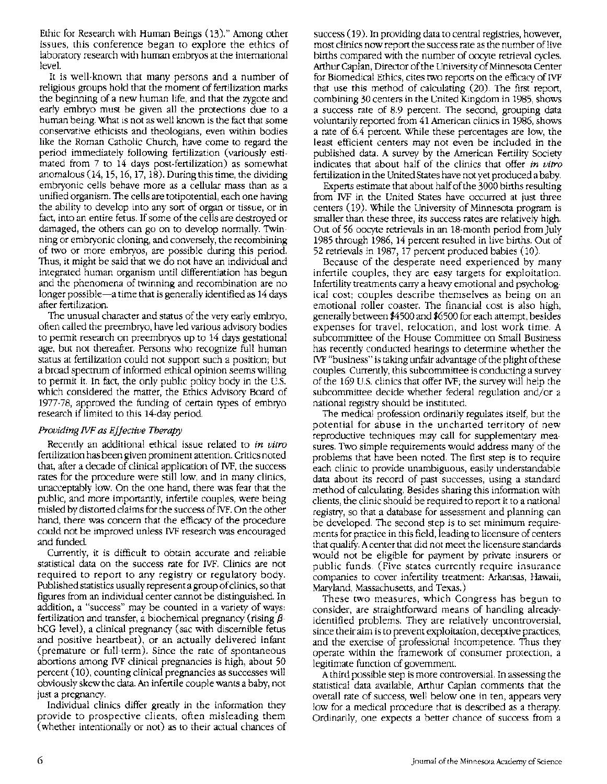Ethic for Research with Human Beings (13)." Among other issues, this conference began to explore the ethics of laboratory research with human embryos at the international level.

It is well-known that many persons and a number of religious groups hold that the moment of fertilization marks the beginning of a new human life, and that the zygote and early embryo must be given all the protections due to a human being. What is not as well known is the fact that some conservative ethicists and theologians, even within bodies like the Roman Catholic Church, have come to regard the period immediately following fertilization (variously estimated from 7 to 14 days post-fertilization) as somewhat anomalous (14, 15, 16, 17, 18). During this time, the dividing embryonic cells behave more as a cellular mass than as a unified organism. The cells are totipotential, each one having the ability to develop into any sort of organ or tissue, or in fact, into an entire fetus. If some of the cells are destroyed or damaged, the others can go on to develop normally. Twinning or embryonic cloning, and conversely, the recombining of two or more embryos, are possible during this period. Thus, it might be said that we do not have an individual and integrated human organism until differentiation has begun and the phenomena of twinning and recombination are no longer possible-a time that is generally identified as 14 days after fertilization.

The unusual character and status of the very early embryo, often called the preembryo, have led various advisory bodies to permit research on preembryos up to 14 days gestational age, but not thereafter. Persons who recognize full human status at fertilization could not support such a position; but a broad spectrum of informed ethical opinion seems willing to permit it. In fact, the only public policy body in the U.S. which considered the matter, the Ethics Advisory Board of 1977-78, approved the funding of certain types of embryo research if limited to this 14-day period.

## *Providing IVF as Effective Therapy*

Recently an additional ethical issue related to *in vitro*  fertilization has been given prominent attention. Critics noted that, after a decade of clinical application of IVF, the success rates for the procedure were still low, and in many clinics, unacceptably low. On the one hand, there was fear that the public, and more importantly, infertile couples, were being misled by distorted claims for the success of IVF. On the other hand, there was concern that the efficacy of the procedure could not be improved unless IVF research was encouraged and funded.

Currently, it is difficult to obtain accurate and reliable statistical data on the success rate for IVF. Clinics are not required to report to any registry or regulatory body. Published statistics usually represent a group of clinics, so that figures from an individual center cannot be distinguished. In addition, a "success" may be counted in a variety of ways: fertilization and transfer, a biochemical pregnancy (rising *{3* hCG level), a clinical pregnancy (sac with discernible fetus and positive heartbeat), or an actually delivered infant (premature or full-term). Since the rate of spontaneous abortions among IVF clinical pregnancies is high, about 50 percent (10), counting clinical pregnancies as successes will obviously skew the data. An infertile couple wants a baby, not just a pregnancy.

Individual clinics differ greatly in the information they provide to prospective clients, often misleading them (whether intentionally or not) as to their actual chances of success (19). In providing data to central registries, however, most clinics now report the success rate as the number of live births compared with the number of oocyte retrieval cycles. Arthur Caplan, Director of the University of Minnesota Center for Biomedical Ethics, cites two reports on the efficacy of IVF that use this method of calculating (20). The first report, combining 30 centers in the United Kingdom in 1985, shows a success rate of 8.9 percent. The second, grouping data voluntarily reported from 41 American clinics in 1986, shows a rate of 6.4 percent. While these percentages are low, the least efficient centers may not even be included in the published data. A survey by the American Fertility Society indicates that about half of the clinics that offer *in vitro*  fertilization in the United States have not yet produced a baby.

Experts estimate that about half of the 3000 births resulting from IVF in the United States have occurred at just three centers (19). While the University of Minnesota program is smaller than these three, its success rates are relatively high. Out of 56 oocyte retrievals in an 18-month period from July 1985 through 1986, 14 percent resulted in live births. Out of 52 retrievals in 1987, 17 percent produced babies (10).

Because of the desperate need experienced by many infertile couples, they are easy targets for exploitation. Infertility treatments carry a heavy emotional and psychological cost; couples describe themselves as being on an emotional roller coaster. The financial cost is also high, generally between \$4500 and \$6500 for each attempt, besides expenses for travel, relocation, and lost work time. A subcommittee of the House Committee on Small Business has recently conducted hearings to determine whether the IVF "business" is taking unfair advantage of the plight of these couples. Currently, this subcommittee is conducting a survey of the 169 U.S. clinics that offer IVF; the survey will help the subcommittee decide whether federal regulation and/or a national registry should be instituted.

The medical profession ordinarily regulates itself, but the potential for abuse in the uncharted territory of new reproductive techniques may call for supplementary measures. Two simple requirements would address many of the problems that have been noted. The first step is to require each clinic to provide unambiguous, easily understandable data about its record of past successes, using a standard method of calculating. Besides sharing this information with clients, the clinic should be required to report it to a national registry, so that a database for assessment and planning can be developed. The second step is to set minimum requirements for practice in this field, leading to licensure of centers that qualify. A center that did not meet the licensure standards would not be eligible for payment by private insurers or public funds. (Five states currently require insurance companies to cover infertility treatment: Arkansas, Hawaii, Maryland, Massachusetts, and Texas.)

These two measures, which Congress has begun to consider, are straightforward means of handling alreadyidentified problems. They are relatively uncontroversial, since their aim is to prevent exploitation, deceptive practices, and the exercise of professional incompetence. Thus they operate within the framework of consumer protection, a legitimate function of government.

A third possible step is more controversial. In assessing the statistical data available, Arthur Caplan comments that the overall rate of success, well below one in ten, appears very low for a medical procedure that is described as a therapy. Ordinarily, one expects a better chance of success from a